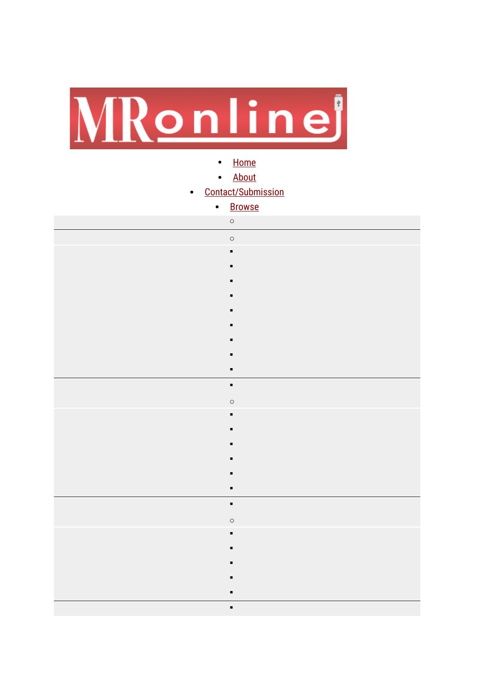

- [Home](https://mronline.org/)
- [About](https://monthlyreview.org/about/#today)
- [Contact/Submission](https://form.jotform.com/220455692635056)

| $\bullet$ | <b>Browse</b>  |
|-----------|----------------|
|           | $\circ$        |
|           | $\circ$        |
|           | $\blacksquare$ |
|           |                |
|           |                |
|           |                |
|           |                |
|           |                |
|           |                |
|           |                |
|           | $\blacksquare$ |
|           | $\blacksquare$ |
|           | $\circ$        |
|           | $\blacksquare$ |
|           |                |
|           |                |
|           |                |
|           |                |
|           | $\blacksquare$ |
|           | $\blacksquare$ |
|           | $\circ$        |
|           | ٠              |
|           |                |
|           |                |
|           |                |
|           |                |
|           | $\blacksquare$ |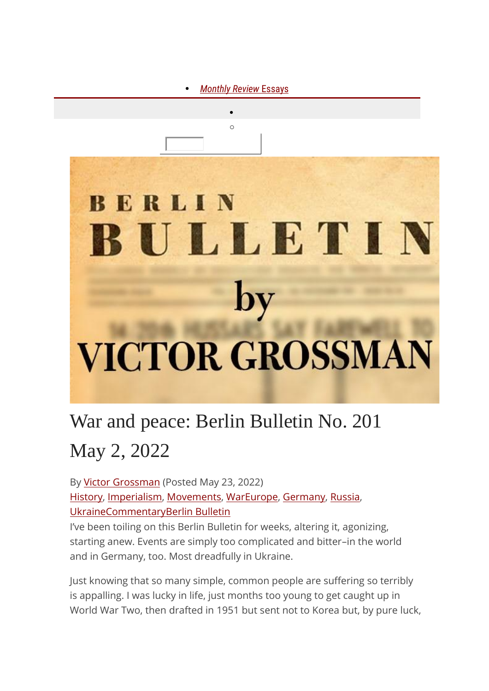

# War and peace: Berlin Bulletin No. 201 May 2, 2022

By Victor [Grossman](https://mronline.org/author/victorgrossman/) (Posted May 23, 2022) [History,](https://mronline.org/subject/history/) [Imperialism,](https://mronline.org/subject/imperialism/) [Movements,](https://mronline.org/subject/movements/) [War](https://mronline.org/subject/war/)[Europe,](https://mronline.org/geography/europe/) [Germany,](https://mronline.org/geography/germany/) [Russia,](https://mronline.org/geography/russia/) [Ukraine](https://mronline.org/geography/ukraine/)[CommentaryB](https://mronline.org/category/commentary/)erlin [Bulletin](https://mronline.org/tag/berlin-bulletin/)

I've been toiling on this Berlin Bulletin for weeks, altering it, agonizing, starting anew. Events are simply too complicated and bitter–in the world and in Germany, too. Most dreadfully in Ukraine.

Just knowing that so many simple, common people are suffering so terribly is appalling. I was lucky in life, just months too young to get caught up in World War Two, then drafted in 1951 but sent not to Korea but, by pure luck,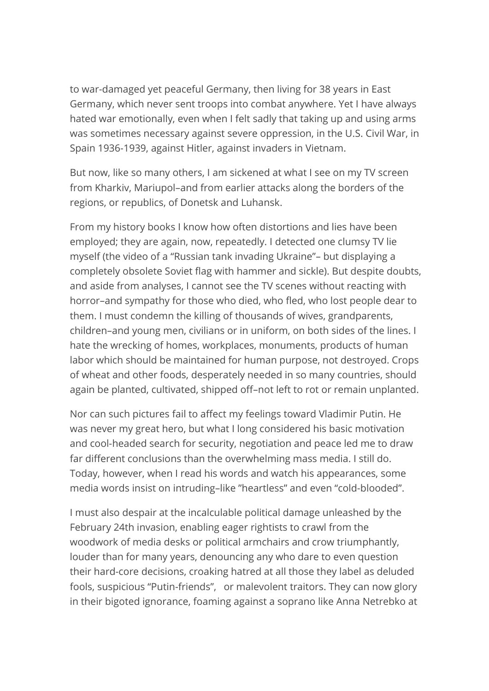to war-damaged yet peaceful Germany, then living for 38 years in East Germany, which never sent troops into combat anywhere. Yet I have always hated war emotionally, even when I felt sadly that taking up and using arms was sometimes necessary against severe oppression, in the U.S. Civil War, in Spain 1936-1939, against Hitler, against invaders in Vietnam.

But now, like so many others, I am sickened at what I see on my TV screen from Kharkiv, Mariupol–and from earlier attacks along the borders of the regions, or republics, of Donetsk and Luhansk.

From my history books I know how often distortions and lies have been employed; they are again, now, repeatedly. I detected one clumsy TV lie myself (the video of a "Russian tank invading Ukraine"– but displaying a completely obsolete Soviet flag with hammer and sickle). But despite doubts, and aside from analyses, I cannot see the TV scenes without reacting with horror–and sympathy for those who died, who fled, who lost people dear to them. I must condemn the killing of thousands of wives, grandparents, children–and young men, civilians or in uniform, on both sides of the lines. I hate the wrecking of homes, workplaces, monuments, products of human labor which should be maintained for human purpose, not destroyed. Crops of wheat and other foods, desperately needed in so many countries, should again be planted, cultivated, shipped off–not left to rot or remain unplanted.

Nor can such pictures fail to affect my feelings toward Vladimir Putin. He was never my great hero, but what I long considered his basic motivation and cool-headed search for security, negotiation and peace led me to draw far different conclusions than the overwhelming mass media. I still do. Today, however, when I read his words and watch his appearances, some media words insist on intruding–like "heartless" and even "cold-blooded".

I must also despair at the incalculable political damage unleashed by the February 24th invasion, enabling eager rightists to crawl from the woodwork of media desks or political armchairs and crow triumphantly, louder than for many years, denouncing any who dare to even question their hard-core decisions, croaking hatred at all those they label as deluded fools, suspicious "Putin-friends", or malevolent traitors. They can now glory in their bigoted ignorance, foaming against a soprano like Anna Netrebko at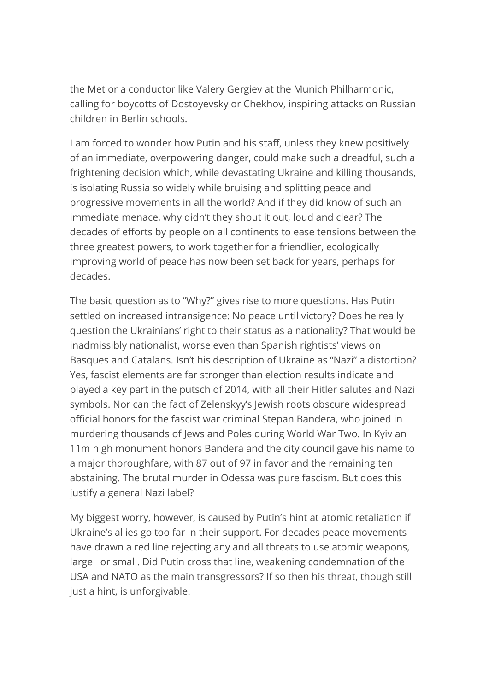the Met or a conductor like Valery Gergiev at the Munich Philharmonic, calling for boycotts of Dostoyevsky or Chekhov, inspiring attacks on Russian children in Berlin schools.

I am forced to wonder how Putin and his staff, unless they knew positively of an immediate, overpowering danger, could make such a dreadful, such a frightening decision which, while devastating Ukraine and killing thousands, is isolating Russia so widely while bruising and splitting peace and progressive movements in all the world? And if they did know of such an immediate menace, why didn't they shout it out, loud and clear? The decades of efforts by people on all continents to ease tensions between the three greatest powers, to work together for a friendlier, ecologically improving world of peace has now been set back for years, perhaps for decades.

The basic question as to "Why?" gives rise to more questions. Has Putin settled on increased intransigence: No peace until victory? Does he really question the Ukrainians' right to their status as a nationality? That would be inadmissibly nationalist, worse even than Spanish rightists' views on Basques and Catalans. Isn't his description of Ukraine as "Nazi" a distortion? Yes, fascist elements are far stronger than election results indicate and played a key part in the putsch of 2014, with all their Hitler salutes and Nazi symbols. Nor can the fact of Zelenskyy's Jewish roots obscure widespread official honors for the fascist war criminal Stepan Bandera, who joined in murdering thousands of Jews and Poles during World War Two. In Kyiv an 11m high monument honors Bandera and the city council gave his name to a major thoroughfare, with 87 out of 97 in favor and the remaining ten abstaining. The brutal murder in Odessa was pure fascism. But does this justify a general Nazi label?

My biggest worry, however, is caused by Putin's hint at atomic retaliation if Ukraine's allies go too far in their support. For decades peace movements have drawn a red line rejecting any and all threats to use atomic weapons, large or small. Did Putin cross that line, weakening condemnation of the USA and NATO as the main transgressors? If so then his threat, though still just a hint, is unforgivable.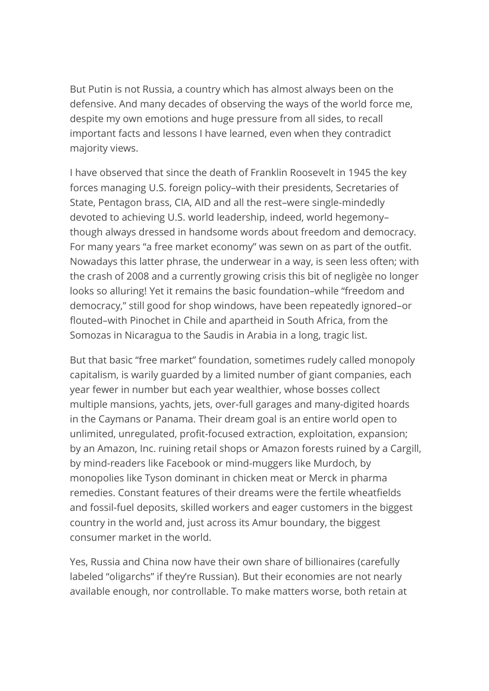But Putin is not Russia, a country which has almost always been on the defensive. And many decades of observing the ways of the world force me, despite my own emotions and huge pressure from all sides, to recall important facts and lessons I have learned, even when they contradict majority views.

I have observed that since the death of Franklin Roosevelt in 1945 the key forces managing U.S. foreign policy–with their presidents, Secretaries of State, Pentagon brass, CIA, AID and all the rest–were single-mindedly devoted to achieving U.S. world leadership, indeed, world hegemony– though always dressed in handsome words about freedom and democracy. For many years "a free market economy" was sewn on as part of the outfit. Nowadays this latter phrase, the underwear in a way, is seen less often; with the crash of 2008 and a currently growing crisis this bit of negligèe no longer looks so alluring! Yet it remains the basic foundation–while "freedom and democracy," still good for shop windows, have been repeatedly ignored–or flouted–with Pinochet in Chile and apartheid in South Africa, from the Somozas in Nicaragua to the Saudis in Arabia in a long, tragic list.

But that basic "free market" foundation, sometimes rudely called monopoly capitalism, is warily guarded by a limited number of giant companies, each year fewer in number but each year wealthier, whose bosses collect multiple mansions, yachts, jets, over-full garages and many-digited hoards in the Caymans or Panama. Their dream goal is an entire world open to unlimited, unregulated, profit-focused extraction, exploitation, expansion; by an Amazon, Inc. ruining retail shops or Amazon forests ruined by a Cargill, by mind-readers like Facebook or mind-muggers like Murdoch, by monopolies like Tyson dominant in chicken meat or Merck in pharma remedies. Constant features of their dreams were the fertile wheatfields and fossil-fuel deposits, skilled workers and eager customers in the biggest country in the world and, just across its Amur boundary, the biggest consumer market in the world.

Yes, Russia and China now have their own share of billionaires (carefully labeled "oligarchs" if they're Russian). But their economies are not nearly available enough, nor controllable. To make matters worse, both retain at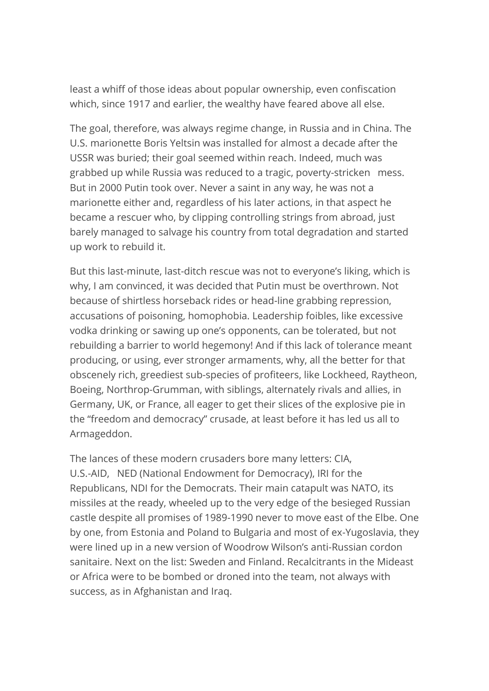least a whiff of those ideas about popular ownership, even confiscation which, since 1917 and earlier, the wealthy have feared above all else.

The goal, therefore, was always regime change, in Russia and in China. The U.S. marionette Boris Yeltsin was installed for almost a decade after the USSR was buried; their goal seemed within reach. Indeed, much was grabbed up while Russia was reduced to a tragic, poverty-stricken mess. But in 2000 Putin took over. Never a saint in any way, he was not a marionette either and, regardless of his later actions, in that aspect he became a rescuer who, by clipping controlling strings from abroad, just barely managed to salvage his country from total degradation and started up work to rebuild it.

But this last-minute, last-ditch rescue was not to everyone's liking, which is why, I am convinced, it was decided that Putin must be overthrown. Not because of shirtless horseback rides or head-line grabbing repression, accusations of poisoning, homophobia. Leadership foibles, like excessive vodka drinking or sawing up one's opponents, can be tolerated, but not rebuilding a barrier to world hegemony! And if this lack of tolerance meant producing, or using, ever stronger armaments, why, all the better for that obscenely rich, greediest sub-species of profiteers, like Lockheed, Raytheon, Boeing, Northrop-Grumman, with siblings, alternately rivals and allies, in Germany, UK, or France, all eager to get their slices of the explosive pie in the "freedom and democracy" crusade, at least before it has led us all to Armageddon.

The lances of these modern crusaders bore many letters: CIA, U.S.-AID, NED (National Endowment for Democracy), IRI for the Republicans, NDI for the Democrats. Their main catapult was NATO, its missiles at the ready, wheeled up to the very edge of the besieged Russian castle despite all promises of 1989-1990 never to move east of the Elbe. One by one, from Estonia and Poland to Bulgaria and most of ex-Yugoslavia, they were lined up in a new version of Woodrow Wilson's anti-Russian cordon sanitaire. Next on the list: Sweden and Finland. Recalcitrants in the Mideast or Africa were to be bombed or droned into the team, not always with success, as in Afghanistan and Iraq.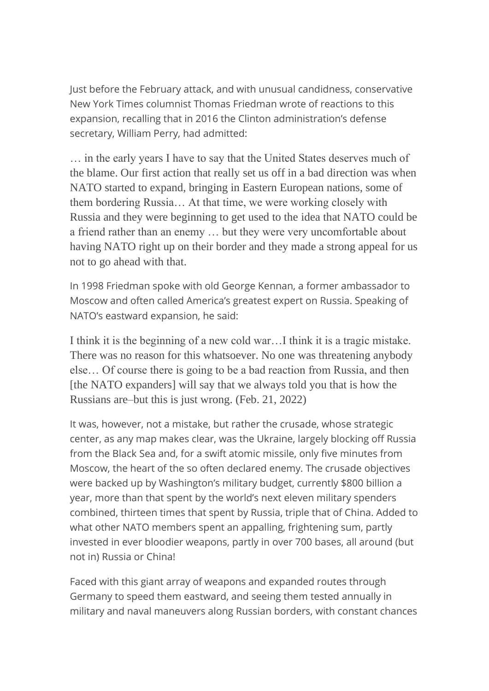Just before the February attack, and with unusual candidness, conservative New York Times columnist Thomas Friedman wrote of reactions to this expansion, recalling that in 2016 the Clinton administration's defense secretary, William Perry, had admitted:

… in the early years I have to say that the United States deserves much of the blame. Our first action that really set us off in a bad direction was when NATO started to expand, bringing in Eastern European nations, some of them bordering Russia… At that time, we were working closely with Russia and they were beginning to get used to the idea that NATO could be a friend rather than an enemy … but they were very uncomfortable about having NATO right up on their border and they made a strong appeal for us not to go ahead with that.

In 1998 Friedman spoke with old George Kennan, a former ambassador to Moscow and often called America's greatest expert on Russia. Speaking of NATO's eastward expansion, he said:

I think it is the beginning of a new cold war…I think it is a tragic mistake. There was no reason for this whatsoever. No one was threatening anybody else… Of course there is going to be a bad reaction from Russia, and then [the NATO expanders] will say that we always told you that is how the Russians are–but this is just wrong. (Feb. 21, 2022)

It was, however, not a mistake, but rather the crusade, whose strategic center, as any map makes clear, was the Ukraine, largely blocking off Russia from the Black Sea and, for a swift atomic missile, only five minutes from Moscow, the heart of the so often declared enemy. The crusade objectives were backed up by Washington's military budget, currently \$800 billion a year, more than that spent by the world's next eleven military spenders combined, thirteen times that spent by Russia, triple that of China. Added to what other NATO members spent an appalling, frightening sum, partly invested in ever bloodier weapons, partly in over 700 bases, all around (but not in) Russia or China!

Faced with this giant array of weapons and expanded routes through Germany to speed them eastward, and seeing them tested annually in military and naval maneuvers along Russian borders, with constant chances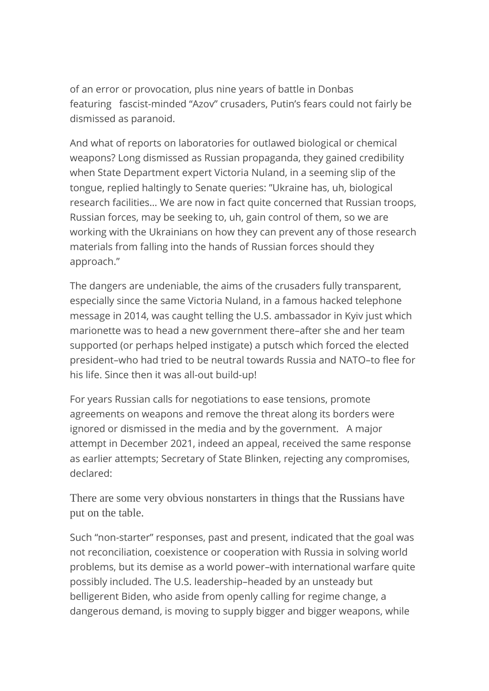of an error or provocation, plus nine years of battle in Donbas featuring fascist-minded "Azov" crusaders, Putin's fears could not fairly be dismissed as paranoid.

And what of reports on laboratories for outlawed biological or chemical weapons? Long dismissed as Russian propaganda, they gained credibility when State Department expert Victoria Nuland, in a seeming slip of the tongue, replied haltingly to Senate queries: "Ukraine has, uh, biological research facilities… We are now in fact quite concerned that Russian troops, Russian forces, may be seeking to, uh, gain control of them, so we are working with the Ukrainians on how they can prevent any of those research materials from falling into the hands of Russian forces should they approach."

The dangers are undeniable, the aims of the crusaders fully transparent, especially since the same Victoria Nuland, in a famous hacked telephone message in 2014, was caught telling the U.S. ambassador in Kyiv just which marionette was to head a new government there–after she and her team supported (or perhaps helped instigate) a putsch which forced the elected president–who had tried to be neutral towards Russia and NATO–to flee for his life. Since then it was all-out build-up!

For years Russian calls for negotiations to ease tensions, promote agreements on weapons and remove the threat along its borders were ignored or dismissed in the media and by the government. A major attempt in December 2021, indeed an appeal, received the same response as earlier attempts; Secretary of State Blinken, rejecting any compromises, declared:

There are some very obvious nonstarters in things that the Russians have put on the table.

Such "non-starter" responses, past and present, indicated that the goal was not reconciliation, coexistence or cooperation with Russia in solving world problems, but its demise as a world power–with international warfare quite possibly included. The U.S. leadership–headed by an unsteady but belligerent Biden, who aside from openly calling for regime change, a dangerous demand, is moving to supply bigger and bigger weapons, while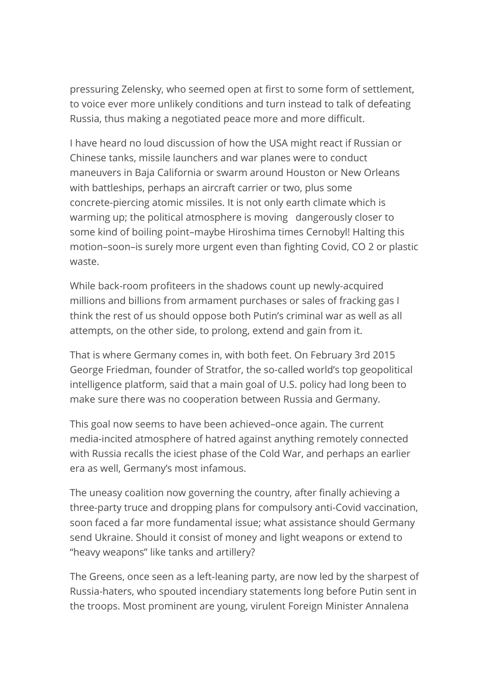pressuring Zelensky, who seemed open at first to some form of settlement, to voice ever more unlikely conditions and turn instead to talk of defeating Russia, thus making a negotiated peace more and more difficult.

I have heard no loud discussion of how the USA might react if Russian or Chinese tanks, missile launchers and war planes were to conduct maneuvers in Baja California or swarm around Houston or New Orleans with battleships, perhaps an aircraft carrier or two, plus some concrete-piercing atomic missiles. It is not only earth climate which is warming up; the political atmosphere is moving dangerously closer to some kind of boiling point–maybe Hiroshima times Cernobyl! Halting this motion–soon–is surely more urgent even than fighting Covid, CO 2 or plastic waste.

While back-room profiteers in the shadows count up newly-acquired millions and billions from armament purchases or sales of fracking gas I think the rest of us should oppose both Putin's criminal war as well as all attempts, on the other side, to prolong, extend and gain from it.

That is where Germany comes in, with both feet. On February 3rd 2015 George Friedman, founder of Stratfor, the so-called world's top geopolitical intelligence platform, said that a main goal of U.S. policy had long been to make sure there was no cooperation between Russia and Germany.

This goal now seems to have been achieved–once again. The current media-incited atmosphere of hatred against anything remotely connected with Russia recalls the iciest phase of the Cold War, and perhaps an earlier era as well, Germany's most infamous.

The uneasy coalition now governing the country, after finally achieving a three-party truce and dropping plans for compulsory anti-Covid vaccination, soon faced a far more fundamental issue; what assistance should Germany send Ukraine. Should it consist of money and light weapons or extend to "heavy weapons" like tanks and artillery?

The Greens, once seen as a left-leaning party, are now led by the sharpest of Russia-haters, who spouted incendiary statements long before Putin sent in the troops. Most prominent are young, virulent Foreign Minister Annalena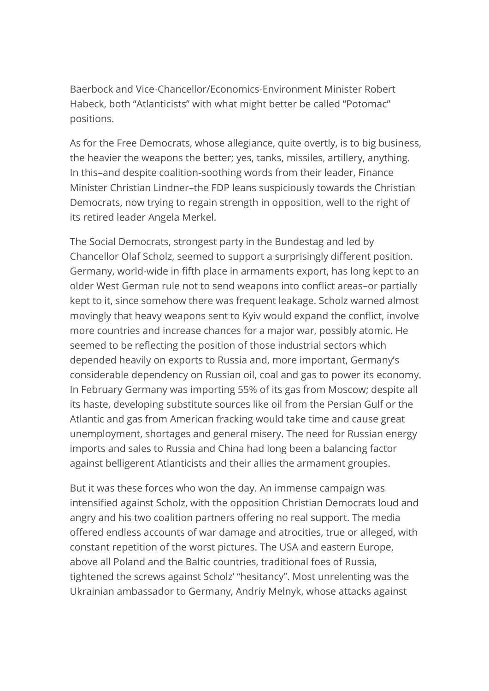Baerbock and Vice-Chancellor/Economics-Environment Minister Robert Habeck, both "Atlanticists" with what might better be called "Potomac" positions.

As for the Free Democrats, whose allegiance, quite overtly, is to big business, the heavier the weapons the better; yes, tanks, missiles, artillery, anything. In this–and despite coalition-soothing words from their leader, Finance Minister Christian Lindner–the FDP leans suspiciously towards the Christian Democrats, now trying to regain strength in opposition, well to the right of its retired leader Angela Merkel.

The Social Democrats, strongest party in the Bundestag and led by Chancellor Olaf Scholz, seemed to support a surprisingly different position. Germany, world-wide in fifth place in armaments export, has long kept to an older West German rule not to send weapons into conflict areas–or partially kept to it, since somehow there was frequent leakage. Scholz warned almost movingly that heavy weapons sent to Kyiv would expand the conflict, involve more countries and increase chances for a major war, possibly atomic. He seemed to be reflecting the position of those industrial sectors which depended heavily on exports to Russia and, more important, Germany's considerable dependency on Russian oil, coal and gas to power its economy. In February Germany was importing 55% of its gas from Moscow; despite all its haste, developing substitute sources like oil from the Persian Gulf or the Atlantic and gas from American fracking would take time and cause great unemployment, shortages and general misery. The need for Russian energy imports and sales to Russia and China had long been a balancing factor against belligerent Atlanticists and their allies the armament groupies.

But it was these forces who won the day. An immense campaign was intensified against Scholz, with the opposition Christian Democrats loud and angry and his two coalition partners offering no real support. The media offered endless accounts of war damage and atrocities, true or alleged, with constant repetition of the worst pictures. The USA and eastern Europe, above all Poland and the Baltic countries, traditional foes of Russia, tightened the screws against Scholz' "hesitancy". Most unrelenting was the Ukrainian ambassador to Germany, Andriy Melnyk, whose attacks against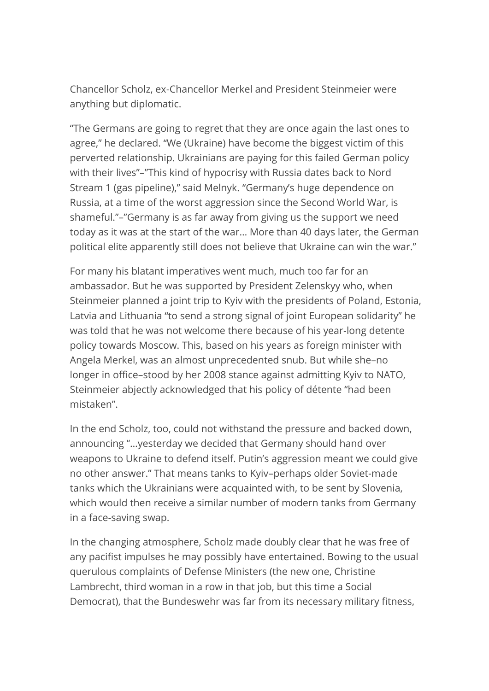Chancellor Scholz, ex-Chancellor Merkel and President Steinmeier were anything but diplomatic.

"The Germans are going to regret that they are once again the last ones to agree," he declared. "We (Ukraine) have become the biggest victim of this perverted relationship. Ukrainians are paying for this failed German policy with their lives"–"This kind of hypocrisy with Russia dates back to Nord Stream 1 (gas pipeline)," said Melnyk. "Germany's huge dependence on Russia, at a time of the worst aggression since the Second World War, is shameful."–"Germany is as far away from giving us the support we need today as it was at the start of the war… More than 40 days later, the German political elite apparently still does not believe that Ukraine can win the war."

For many his blatant imperatives went much, much too far for an ambassador. But he was supported by President Zelenskyy who, when Steinmeier planned a joint trip to Kyiv with the presidents of Poland, Estonia, Latvia and Lithuania "to send a strong signal of joint European solidarity" he was told that he was not welcome there because of his year-long detente policy towards Moscow. This, based on his years as foreign minister with Angela Merkel, was an almost unprecedented snub. But while she–no longer in office–stood by her 2008 stance against admitting Kyiv to NATO, Steinmeier abjectly acknowledged that his policy of détente "had been mistaken".

In the end Scholz, too, could not withstand the pressure and backed down, announcing "…yesterday we decided that Germany should hand over weapons to Ukraine to defend itself. Putin's aggression meant we could give no other answer." That means tanks to Kyiv–perhaps older Soviet-made tanks which the Ukrainians were acquainted with, to be sent by Slovenia, which would then receive a similar number of modern tanks from Germany in a face-saving swap.

In the changing atmosphere, Scholz made doubly clear that he was free of any pacifist impulses he may possibly have entertained. Bowing to the usual querulous complaints of Defense Ministers (the new one, Christine Lambrecht, third woman in a row in that job, but this time a Social Democrat), that the Bundeswehr was far from its necessary military fitness,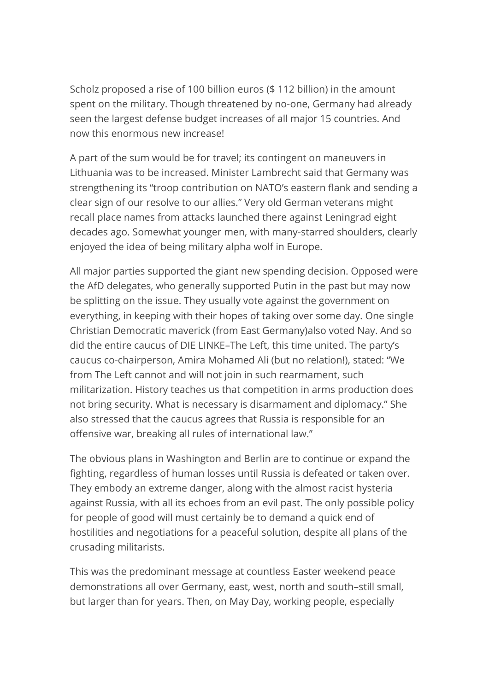Scholz proposed a rise of 100 billion euros (\$ 112 billion) in the amount spent on the military. Though threatened by no-one, Germany had already seen the largest defense budget increases of all major 15 countries. And now this enormous new increase!

A part of the sum would be for travel; its contingent on maneuvers in Lithuania was to be increased. Minister Lambrecht said that Germany was strengthening its "troop contribution on NATO's eastern flank and sending a clear sign of our resolve to our allies." Very old German veterans might recall place names from attacks launched there against Leningrad eight decades ago. Somewhat younger men, with many-starred shoulders, clearly enjoyed the idea of being military alpha wolf in Europe.

All major parties supported the giant new spending decision. Opposed were the AfD delegates, who generally supported Putin in the past but may now be splitting on the issue. They usually vote against the government on everything, in keeping with their hopes of taking over some day. One single Christian Democratic maverick (from East Germany)also voted Nay. And so did the entire caucus of DIE LINKE–The Left, this time united. The party's caucus co-chairperson, Amira Mohamed Ali (but no relation!), stated: "We from The Left cannot and will not join in such rearmament, such militarization. History teaches us that competition in arms production does not bring security. What is necessary is disarmament and diplomacy." She also stressed that the caucus agrees that Russia is responsible for an offensive war, breaking all rules of international law."

The obvious plans in Washington and Berlin are to continue or expand the fighting, regardless of human losses until Russia is defeated or taken over. They embody an extreme danger, along with the almost racist hysteria against Russia, with all its echoes from an evil past. The only possible policy for people of good will must certainly be to demand a quick end of hostilities and negotiations for a peaceful solution, despite all plans of the crusading militarists.

This was the predominant message at countless Easter weekend peace demonstrations all over Germany, east, west, north and south–still small, but larger than for years. Then, on May Day, working people, especially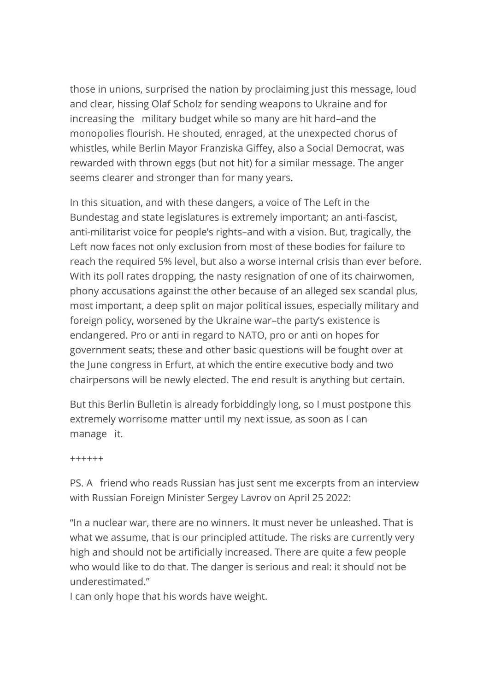those in unions, surprised the nation by proclaiming just this message, loud and clear, hissing Olaf Scholz for sending weapons to Ukraine and for increasing the military budget while so many are hit hard–and the monopolies flourish. He shouted, enraged, at the unexpected chorus of whistles, while Berlin Mayor Franziska Giffey, also a Social Democrat, was rewarded with thrown eggs (but not hit) for a similar message. The anger seems clearer and stronger than for many years.

In this situation, and with these dangers, a voice of The Left in the Bundestag and state legislatures is extremely important; an anti-fascist, anti-militarist voice for people's rights–and with a vision. But, tragically, the Left now faces not only exclusion from most of these bodies for failure to reach the required 5% level, but also a worse internal crisis than ever before. With its poll rates dropping, the nasty resignation of one of its chairwomen, phony accusations against the other because of an alleged sex scandal plus, most important, a deep split on major political issues, especially military and foreign policy, worsened by the Ukraine war–the party's existence is endangered. Pro or anti in regard to NATO, pro or anti on hopes for government seats; these and other basic questions will be fought over at the June congress in Erfurt, at which the entire executive body and two chairpersons will be newly elected. The end result is anything but certain.

But this Berlin Bulletin is already forbiddingly long, so I must postpone this extremely worrisome matter until my next issue, as soon as I can manage it.

++++++

PS. A friend who reads Russian has just sent me excerpts from an interview with Russian Foreign Minister Sergey Lavrov on April 25 2022:

"In a nuclear war, there are no winners. It must never be unleashed. That is what we assume, that is our principled attitude. The risks are currently very high and should not be artificially increased. There are quite a few people who would like to do that. The danger is serious and real: it should not be underestimated."

I can only hope that his words have weight.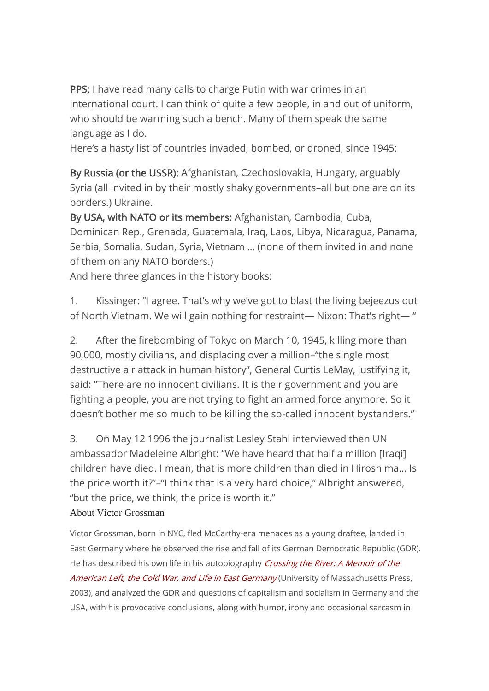PPS: I have read many calls to charge Putin with war crimes in an international court. I can think of quite a few people, in and out of uniform, who should be warming such a bench. Many of them speak the same language as I do.

Here's a hasty list of countries invaded, bombed, or droned, since 1945:

By Russia (or the USSR): Afghanistan, Czechoslovakia, Hungary, arguably Syria (all invited in by their mostly shaky governments–all but one are on its borders.) Ukraine.

By USA, with NATO or its members: Afghanistan, Cambodia, Cuba, Dominican Rep., Grenada, Guatemala, Iraq, Laos, Libya, Nicaragua, Panama, Serbia, Somalia, Sudan, Syria, Vietnam … (none of them invited in and none of them on any NATO borders.)

And here three glances in the history books:

1. Kissinger: "I agree. That's why we've got to blast the living bejeezus out of North Vietnam. We will gain nothing for restraint— Nixon: That's right— "

2. After the firebombing of Tokyo on March 10, 1945, killing more than 90,000, mostly civilians, and displacing over a million–"the single most destructive air attack in human history", General Curtis LeMay, justifying it, said: "There are no innocent civilians. It is their government and you are fighting a people, you are not trying to fight an armed force anymore. So it doesn't bother me so much to be killing the so-called innocent bystanders."

3. On May 12 1996 the journalist Lesley Stahl interviewed then UN ambassador Madeleine Albright: "We have heard that half a million [Iraqi] children have died. I mean, that is more children than died in Hiroshima… Is the price worth it?"–"I think that is a very hard choice," Albright answered, "but the price, we think, the price is worth it."

### About Victor Grossman

Victor Grossman, born in NYC, fled McCarthy-era menaces as a young draftee, landed in East Germany where he observed the rise and fall of its German Democratic Republic (GDR). He has described his own life in his autobiography [Crossing](http://www.umass.edu/umpress/title/crossing-river) the River: A Memoir of the American Left, the Cold War, and Life in East [Germany](http://www.umass.edu/umpress/title/crossing-river) (University of Massachusetts Press, 2003), and analyzed the GDR and questions of capitalism and socialism in Germany and the USA, with his provocative conclusions, along with humor, irony and occasional sarcasm in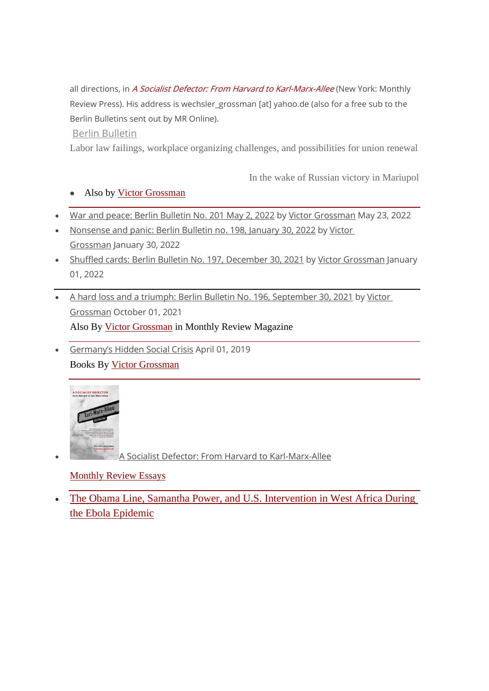all directions, in A Socialist Defector: From Harvard to [Karl-Marx-Allee](https://monthlyreview.org/product/a-socialist-defector/) (New York: Monthly Review Press). His address is wechsler\_grossman [at] yahoo.de (also for a free sub to the Berlin Bulletins sent out by MR Online).

#### Berlin [Bulletin](https://mronline.org/tag/berlin-bulletin/)

Labor law failings, workplace organizing challenges, and [possibilities](https://mronline.org/2022/05/23/labor-law-failings-workplace-organizing-challenges-and-possibilities-for-union-renewal/) for union renewal

In the wake of Russian victory in [Mariupol](https://mronline.org/2022/05/24/in-the-wake-of-russian-victory-in-mariupol/)

### • Also by Victor [Grossman](https://mronline.org/author/victorgrossman/)

- War and peace: Berlin [Bulletin](https://mronline.org/2022/05/23/war-and-peace/) No. 201 May 2, 2022 by Victor [Grossman](https://mronline.org/author/victorgrossman/) May 23, 2022
- [Nonsense](https://mronline.org/2022/01/30/nonsense-and-panic-berlin-bulletin-no-198-january-30-2022/) and panic: Berlin Bulletin no. 198, January 30, 2022 by [Victor](https://mronline.org/author/victorgrossman/) [Grossman](https://mronline.org/author/victorgrossman/) January 30, 2022
- Shuffled cards: Berlin Bulletin No. 197, [December](https://mronline.org/2022/01/01/shuffled-cards-berlin-bulletin-no-197-december-30-2021/) 30, 2021 by Victor [Grossman](https://mronline.org/author/victorgrossman/) January 01, 2022
- A hard loss and a triumph: Berlin Bulletin No. 196, [September](https://mronline.org/2021/10/01/a-hard-loss-and-a-triumph-berlin-bulletin-no-196-september-30-2021/) 30, 2021 by [Victor](https://mronline.org/author/victorgrossman/) [Grossman](https://mronline.org/author/victorgrossman/) October 01, 2021 Also By Victor [Grossman](https://monthlyreview.org/author/victorgrossman/) in Monthly Review Magazine
- [Germany's](https://monthlyreview.org/2019/04/01/germanys-hidden-social-crisis/) Hidden Social Crisis April 01, 2019 Books By Victor [Grossman](https://monthlyreview.org/author/victorgrossman/)



• A Socialist Defector: From Harvard to [Karl-Marx-Allee](https://monthlyreview.org/product/a-socialist-defector/)

### [Monthly](https://mronline.org/category/monthly-review-essays/) Review Essays

• The Obama Line, Samantha Power, and U.S. [Intervention](https://mronline.org/2022/01/29/the-obama-line-samantha-power-and-u-s-intervention-in-west-africa-during-the-ebola-epidemic/) in West Africa During the Ebola [Epidemic](https://mronline.org/2022/01/29/the-obama-line-samantha-power-and-u-s-intervention-in-west-africa-during-the-ebola-epidemic/)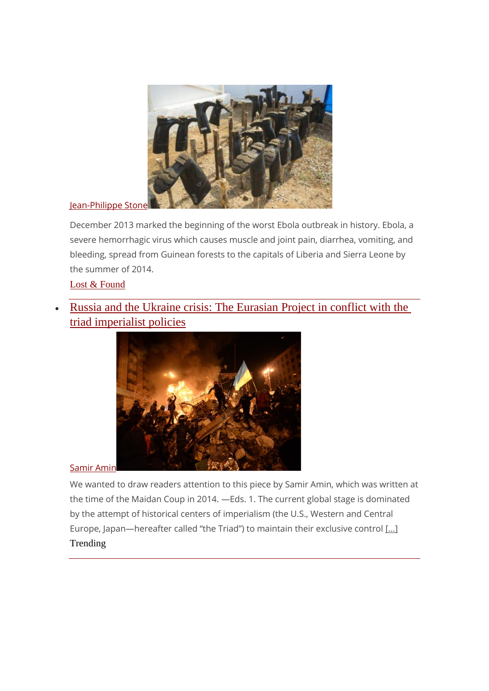

#### [Jean-Philippe](https://mronline.org/author/jeanphilippestone/) Stone

December 2013 marked the beginning of the worst Ebola outbreak in history. Ebola, a severe hemorrhagic virus which causes muscle and joint pain, diarrhea, vomiting, and bleeding, spread from Guinean forests to the capitals of Liberia and Sierra Leone by the summer of 2014.

Lost & [Found](https://mronline.org/category/lost-and-found/)

• Russia and the Ukraine crisis: The [Eurasian](https://mronline.org/2022/05/07/russia-and-the-ukraine-crisis-the-eurasian-project-in-conflict-with-the-triad-imperialist-policies/) Project in conflict with the triad [imperialist](https://mronline.org/2022/05/07/russia-and-the-ukraine-crisis-the-eurasian-project-in-conflict-with-the-triad-imperialist-policies/) policies



[Samir](https://mronline.org/author/samiramin/) Amin

We wanted to draw readers attention to this piece by Samir Amin, which was written at the time of the Maidan Coup in 2014. —Eds. 1. The current global stage is dominated by the attempt of historical centers of imperialism (the U.S., Western and Central Europe, Japan—hereafter called "the Triad") to maintain their exclusive control [\[…\]](https://mronline.org/2022/05/07/russia-and-the-ukraine-crisis-the-eurasian-project-in-conflict-with-the-triad-imperialist-policies/) Trending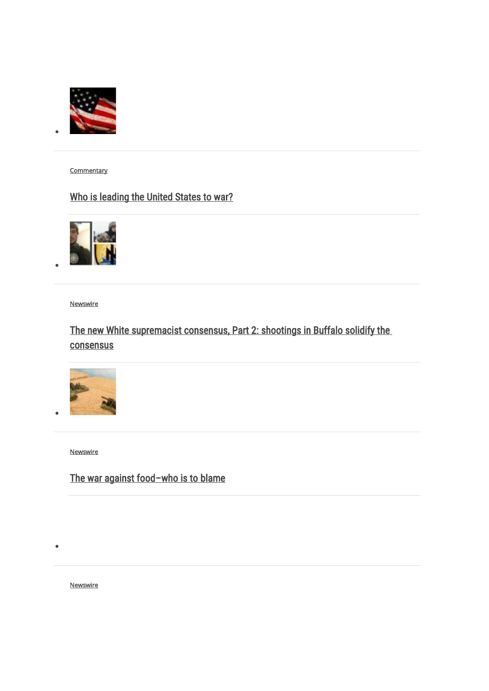

•

•

•

•

**Commentary** 

# [Who is leading the United States to war?](https://mronline.org/2022/05/19/who-is-leading-the-united-states-to-war/)



**Newswire** 

# [The new White supremacist consensus, Part 2: shootings in Buffalo solidify the](https://mronline.org/2022/05/19/the-new-white-supremacist-consensus-part-2/)  **[consensus](https://mronline.org/2022/05/19/the-new-white-supremacist-consensus-part-2/)**



**Newswire** 

# [The war against food](https://mronline.org/2022/05/18/the-war-against-food-who-is-to-blame/)–who is to blame

**Newswire**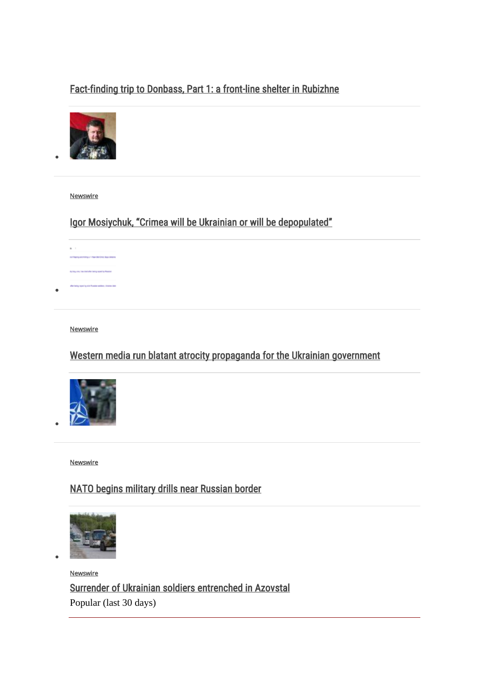## [Fact-finding trip to Donbass, Part 1: a front-line shelter in Rubizhne](https://mronline.org/2022/05/21/fact-finding-trip-to-donbass-part-1/)



[Newswire](https://mronline.org/category/newswire/) 

•

•

•

•

# [Igor Mosiychuk, "Crimea will be Ukrainian or will be depopulated"](https://mronline.org/2022/05/20/igor-mosiychuk-crimea-will-be-ukrainian-or-will-be-depopulated/)



#### **Newswire**

## [Western media run blatant atrocity propaganda for the Ukrainian government](https://mronline.org/2022/05/23/western-media-run-blatant-atrocity-propaganda-for-the-ukrainian-government/)



**Newswire** 

## [NATO begins military drills near Russian border](https://mronline.org/2022/05/18/nato-begins-military-drills-near-russian-border/)



**Newswire** [Surrender of Ukrainian soldiers entrenched in Azovstal](https://mronline.org/2022/05/21/surrender-of-ukrainian-soldiers-entrenched-in-azovstal/) Popular (last 30 days)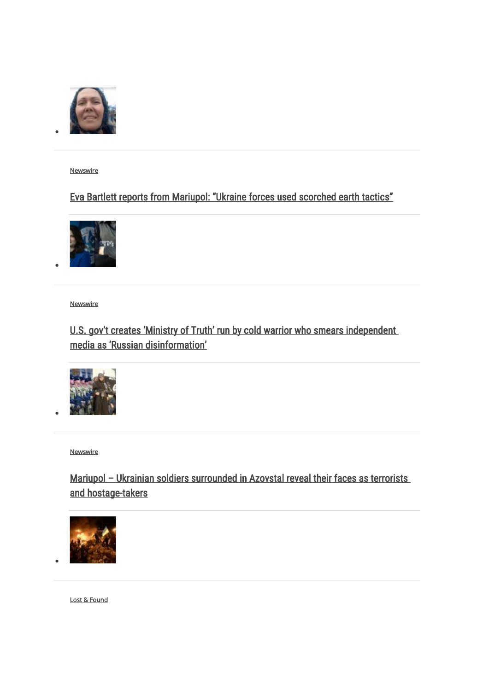

[Newswire](https://mronline.org/category/newswire/) 

•

•

•

•

## [Eva Bartlett reports from Mariupol: "Ukraine forces used scorched earth tactics"](https://mronline.org/2022/04/28/eva-bartlett-reports-from-mariupol/)



**Newswire** 

## [U.S. gov't creates 'Ministry of Truth' run by cold warrior who smears independent](https://mronline.org/2022/05/03/u-s-govt-creates-ministry-of-truth/)  [media as 'Russian disinformation'](https://mronline.org/2022/05/03/u-s-govt-creates-ministry-of-truth/)



[Newswire](https://mronline.org/category/newswire/) 

# Mariupol - Ukrainian soldiers surrounded in Azovstal reveal their faces as terrorists [and hostage-takers](https://mronline.org/2022/05/09/mariupol-ukrainian-soldiers-surrounded-in-azovstal-reveal-their-faces-as-terrorists-and-hostage-takers/)



[Lost & Found](https://mronline.org/category/lost-and-found/)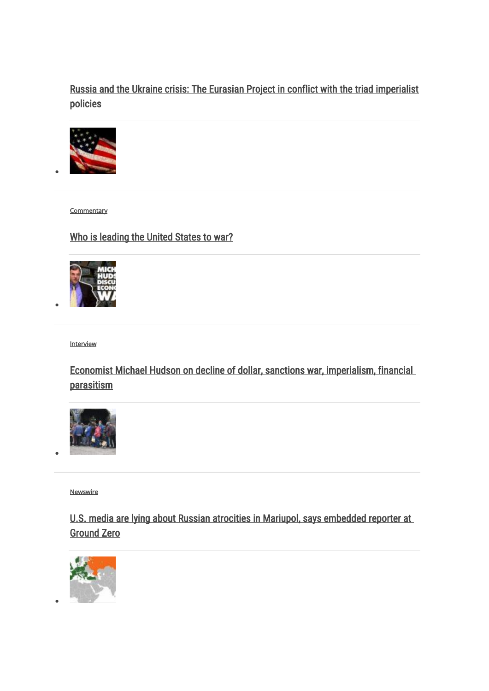## [Russia and the Ukraine crisis: The Eurasian Project in conflict with the triad imperialist](https://mronline.org/2022/05/07/russia-and-the-ukraine-crisis-the-eurasian-project-in-conflict-with-the-triad-imperialist-policies/)  [policies](https://mronline.org/2022/05/07/russia-and-the-ukraine-crisis-the-eurasian-project-in-conflict-with-the-triad-imperialist-policies/)



**Commentary** 

•

•

•

•

## [Who is leading the United States to war?](https://mronline.org/2022/05/19/who-is-leading-the-united-states-to-war/)



**Interview** 

[Economist Michael Hudson on decline of dollar, sanctions war, imperialism, financial](https://mronline.org/2022/05/13/economist-michael-hudson-on-decline-of-dollar-sanctions-war-imperialism-financial-parasitism/)  [parasitism](https://mronline.org/2022/05/13/economist-michael-hudson-on-decline-of-dollar-sanctions-war-imperialism-financial-parasitism/)



[Newswire](https://mronline.org/category/newswire/) 

[U.S. media are lying about Russian atrocities in Mariupol, says embedded reporter at](https://mronline.org/2022/04/27/u-s-media-are-lying-about-russian-atrocities-in-mariupol-says-embedded-reporter-at-ground-zero/)  [Ground Zero](https://mronline.org/2022/04/27/u-s-media-are-lying-about-russian-atrocities-in-mariupol-says-embedded-reporter-at-ground-zero/)